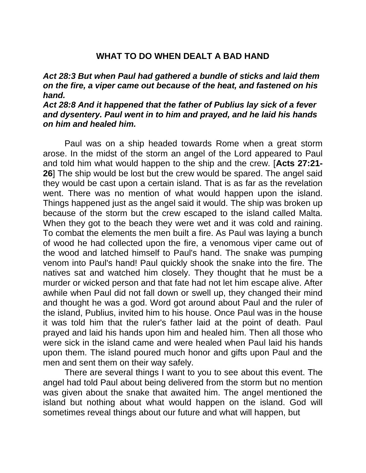## **WHAT TO DO WHEN DEALT A BAD HAND**

## *Act 28:3 But when Paul had gathered a bundle of sticks and laid them on the fire, a viper came out because of the heat, and fastened on his hand.*

## *Act 28:8 And it happened that the father of Publius lay sick of a fever and dysentery. Paul went in to him and prayed, and he laid his hands on him and healed him.*

Paul was on a ship headed towards Rome when a great storm arose. In the midst of the storm an angel of the Lord appeared to Paul and told him what would happen to the ship and the crew. [**Acts 27:21- 26**] The ship would be lost but the crew would be spared. The angel said they would be cast upon a certain island. That is as far as the revelation went. There was no mention of what would happen upon the island. Things happened just as the angel said it would. The ship was broken up because of the storm but the crew escaped to the island called Malta. When they got to the beach they were wet and it was cold and raining. To combat the elements the men built a fire. As Paul was laying a bunch of wood he had collected upon the fire, a venomous viper came out of the wood and latched himself to Paul's hand. The snake was pumping venom into Paul's hand! Paul quickly shook the snake into the fire. The natives sat and watched him closely. They thought that he must be a murder or wicked person and that fate had not let him escape alive. After awhile when Paul did not fall down or swell up, they changed their mind and thought he was a god. Word got around about Paul and the ruler of the island, Publius, invited him to his house. Once Paul was in the house it was told him that the ruler's father laid at the point of death. Paul prayed and laid his hands upon him and healed him. Then all those who were sick in the island came and were healed when Paul laid his hands upon them. The island poured much honor and gifts upon Paul and the men and sent them on their way safely.

There are several things I want to you to see about this event. The angel had told Paul about being delivered from the storm but no mention was given about the snake that awaited him. The angel mentioned the island but nothing about what would happen on the island. God will sometimes reveal things about our future and what will happen, but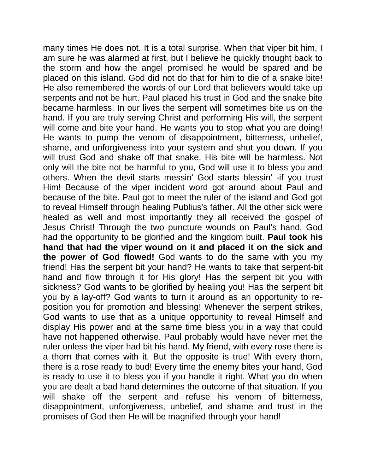many times He does not. It is a total surprise. When that viper bit him, I am sure he was alarmed at first, but I believe he quickly thought back to the storm and how the angel promised he would be spared and be placed on this island. God did not do that for him to die of a snake bite! He also remembered the words of our Lord that believers would take up serpents and not be hurt. Paul placed his trust in God and the snake bite became harmless. In our lives the serpent will sometimes bite us on the hand. If you are truly serving Christ and performing His will, the serpent will come and bite your hand. He wants you to stop what you are doing! He wants to pump the venom of disappointment, bitterness, unbelief, shame, and unforgiveness into your system and shut you down. If you will trust God and shake off that snake, His bite will be harmless. Not only will the bite not be harmful to you, God will use it to bless you and others. When the devil starts messin' God starts blessin' -if you trust Him! Because of the viper incident word got around about Paul and because of the bite. Paul got to meet the ruler of the island and God got to reveal Himself through healing Publius's father. All the other sick were healed as well and most importantly they all received the gospel of Jesus Christ! Through the two puncture wounds on Paul's hand, God had the opportunity to be glorified and the kingdom built. **Paul took his hand that had the viper wound on it and placed it on the sick and the power of God flowed!** God wants to do the same with you my friend! Has the serpent bit your hand? He wants to take that serpent-bit hand and flow through it for His glory! Has the serpent bit you with sickness? God wants to be glorified by healing you! Has the serpent bit you by a lay-off? God wants to turn it around as an opportunity to reposition you for promotion and blessing! Whenever the serpent strikes, God wants to use that as a unique opportunity to reveal Himself and display His power and at the same time bless you in a way that could have not happened otherwise. Paul probably would have never met the ruler unless the viper had bit his hand. My friend, with every rose there is a thorn that comes with it. But the opposite is true! With every thorn, there is a rose ready to bud! Every time the enemy bites your hand, God is ready to use it to bless you if you handle it right. What you do when you are dealt a bad hand determines the outcome of that situation. If you will shake off the serpent and refuse his venom of bitterness, disappointment, unforgiveness, unbelief, and shame and trust in the promises of God then He will be magnified through your hand!